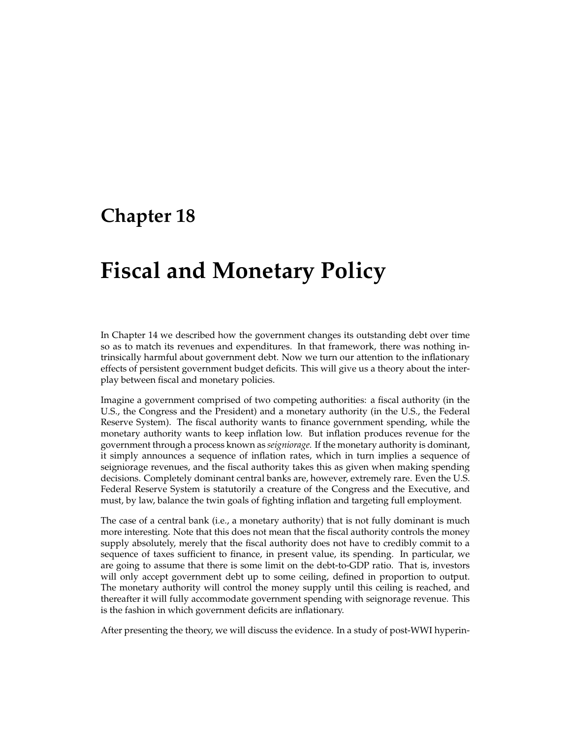# **Chapter 18**

# **Fiscal and Monetary Policy**

In Chapter 14 we described how the government changes its outstanding debt over time so as to match its revenues and expenditures. In that framework, there was nothing intrinsically harmful about government debt. Now we turn our attention to the inflationary effects of persistent government budget deficits. This will give us a theory about the interplay between fiscal and monetary policies.

Imagine a government comprised of two competing authorities: a fiscal authority (in the U.S., the Congress and the President) and a monetary authority (in the U.S., the Federal Reserve System). The fiscal authority wants to finance government spending, while the monetary authority wants to keep inflation low. But inflation produces revenue for the government through a process known as *seigniorage.* If the monetary authority is dominant, it simply announces a sequence of inflation rates, which in turn implies a sequence of seigniorage revenues, and the fiscal authority takes this as given when making spending decisions. Completely dominant central banks are, however, extremely rare. Even the U.S. Federal Reserve System is statutorily a creature of the Congress and the Executive, and must, by law, balance the twin goals of fighting inflation and targeting full employment.

The case of a central bank (i.e., a monetary authority) that is not fully dominant is much more interesting. Note that this does not mean that the fiscal authority controls the money supply absolutely, merely that the fiscal authority does not have to credibly commit to a sequence of taxes sufficient to finance, in present value, its spending. In particular, we are going to assume that there is some limit on the debt-to-GDP ratio. That is, investors will only accept government debt up to some ceiling, defined in proportion to output. The monetary authority will control the money supply until this ceiling is reached, and thereafter it will fully accommodate government spending with seignorage revenue. This is the fashion in which government deficits are inflationary.

After presenting the theory, we will discuss the evidence. In a study of post-WWI hyperin-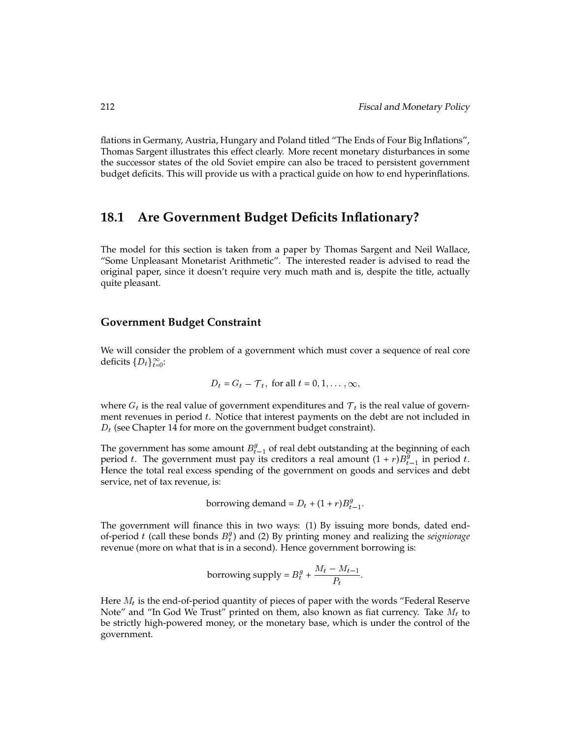flations in Germany, Austria, Hungary and Poland titled "The Ends of Four Big Inflations", Thomas Sargent illustrates this effect clearly. More recent monetary disturbances in some the successor states of the old Soviet empire can also be traced to persistent government budget deficits. This will provide us with a practical guide on how to end hyperinflations.

# **18.1 Are Government Budget Deficits Inflationary?**

The model for this section is taken from a paper by Thomas Sargent and Neil Wallace, "Some Unpleasant Monetarist Arithmetic". The interested reader is advised to read the original paper, since it doesn't require very much math and is, despite the title, actually quite pleasant.

#### **Government Budget Constraint**

We will consider the problem of a government which must cover a sequence of real core deficits  $\{D_t\}_{t=0}^{\infty}$ :

$$
D_t = G_t - \mathcal{T}_t, \text{ for all } t = 0, 1, \dots, \infty,
$$

where  $G_t$  is the real value of government expenditures and  $\mathcal{T}_t$  is the real value of government revenues in period  $t$ . Notice that interest payments on the debt are not included in  $D_t$  (see Chapter 14 for more on the government budget constraint).

The government has some amount  $B_{t-1}^g$  of real debt outstanding at the beginning of each period t. The government must pay its creditors a real amount  $(1 + r)B_{t-1}^g$  in period t. Hence the total real excess spending of the government on goods and services and debt service, net of tax revenue, is:

borrowing demand = 
$$
D_t + (1+r)B_{t-1}^g
$$

The government will finance this in two ways: (1) By issuing more bonds, dated endof-period <sup>t</sup> (call these bonds <sup>B</sup><sup>g</sup> ) and (2) By printing money and realizing the *seigniorage* revenue (more on what that is in a second). Hence government borrowing is:

borrowing supply = 
$$
B_t^g + \frac{M_t - M_{t-1}}{P_t}
$$
.

Here  $M_t$  is the end-of-period quantity of pieces of paper with the words "Federal Reserve Note" and "In God We Trust" printed on them, also known as fiat currency. Take  $M_t$  to be strictly high-powered money, or the monetary base, which is under the control of the government.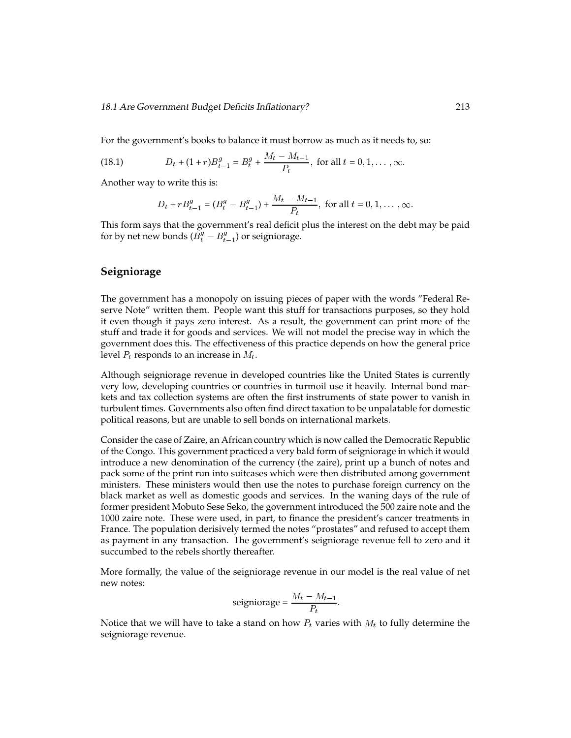For the government's books to balance it must borrow as much as it needs to, so:

(18.1) 
$$
D_t + (1+r)B_{t-1}^g = B_t^g + \frac{M_t - M_{t-1}}{P_t}, \text{ for all } t = 0, 1, ..., \infty.
$$

Another way to write this is:

$$
D_t + rB_{t-1}^g = (B_t^g - B_{t-1}^g) + \frac{M_t - M_{t-1}}{P_t}, \text{ for all } t = 0, 1, ..., \infty.
$$

This form says that the government's real deficit plus the interest on the debt may be paid for by net new bonds  $(B_t^y - B_{t-1}^y)$  or seigniorage.

### **Seigniorage**

The government has a monopoly on issuing pieces of paper with the words "Federal Reserve Note" written them. People want this stuff for transactions purposes, so they hold it even though it pays zero interest. As a result, the government can print more of the stuff and trade it for goods and services. We will not model the precise way in which the government does this. The effectiveness of this practice depends on how the general price level  $P_t$  responds to an increase in  $M_t$ .

Although seigniorage revenue in developed countries like the United States is currently very low, developing countries or countries in turmoil use it heavily. Internal bond markets and tax collection systems are often the first instruments of state power to vanish in turbulent times. Governments also often find direct taxation to be unpalatable for domestic political reasons, but are unable to sell bonds on international markets.

Consider the case of Zaire, an African country which is now called the Democratic Republic of the Congo. This government practiced a very bald form of seigniorage in which it would introduce a new denomination of the currency (the zaire), print up a bunch of notes and pack some of the print run into suitcases which were then distributed among government ministers. These ministers would then use the notes to purchase foreign currency on the black market as well as domestic goods and services. In the waning days of the rule of former president Mobuto Sese Seko, the government introduced the 500 zaire note and the 1000 zaire note. These were used, in part, to finance the president's cancer treatments in France. The population derisively termed the notes "prostates" and refused to accept them as payment in any transaction. The government's seigniorage revenue fell to zero and it succumbed to the rebels shortly thereafter.

More formally, the value of the seigniorage revenue in our model is the real value of net new notes:

$$
seigniorage = \frac{M_t - M_{t-1}}{P_t}.
$$

Notice that we will have to take a stand on how  $P_t$  varies with  $M_t$  to fully determine the seigniorage revenue.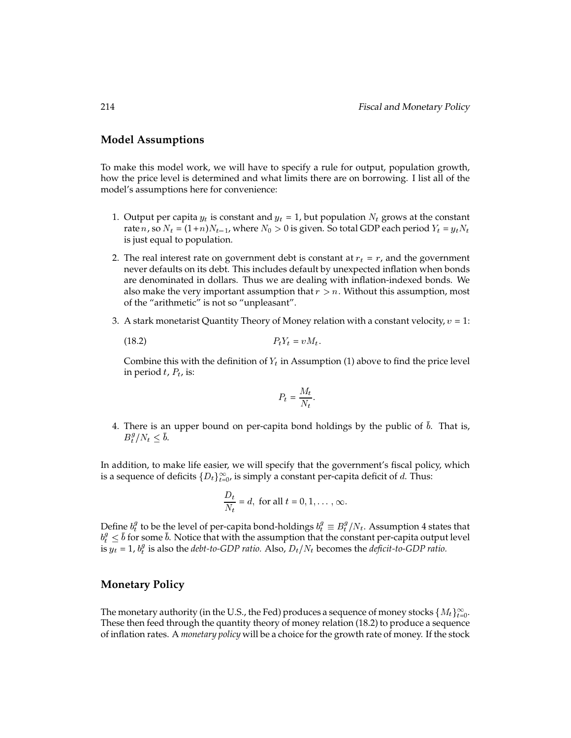#### **Model Assumptions**

To make this model work, we will have to specify a rule for output, population growth, how the price level is determined and what limits there are on borrowing. I list all of the model's assumptions here for convenience:

- 1. Output per capita  $y_t$  is constant and  $y_t = 1$ , but population  $N_t$  grows at the constant rate n, so  $N_t = (1+n)N_{t-1}$ , where  $N_0 > 0$  is given. So total GDP each period  $Y_t = y_tN_t$ is just equal to population.
- 2. The real interest rate on government debt is constant at  $r<sub>t</sub> = r$ , and the government never defaults on its debt. This includes default by unexpected inflation when bonds are denominated in dollars. Thus we are dealing with inflation-indexed bonds. We also make the very important assumption that  $r>n$ . Without this assumption, most of the "arithmetic" is not so "unpleasant".
- 3. A stark monetarist Quantity Theory of Money relation with a constant velocity,  $v = 1$ :

$$
(18.2) \t\t\t P_tY_t = vM_t.
$$

Combine this with the definition of  $Y_t$  in Assumption (1) above to find the price level in period  $t$ ,  $P_t$ , is:

$$
P_t = \frac{M_t}{N_t}.
$$

4. There is an upper bound on per-capita bond holdings by the public of  $\bar{b}$ . That is,  $B_t^g/N_t \leq \overline{b}.$ t

In addition, to make life easier, we will specify that the government's fiscal policy, which is a sequence of deficits  $\{D_t\}_{t=0}^\infty$ , is simply a constant per-capita deficit of  $d.$  Thus:

$$
\frac{D_t}{N_t} = d, \text{ for all } t = 0, 1, \dots, \infty.
$$

Define  $b_t^y$  to be the level of per-capita bond-holdings  $b_t^y \equiv B_t^y/N_t.$  Assumption 4 states that  $b_t^g \leq \bar{b}$  for some  $\bar{b}$ . Notice that with the assumption that the constant per-capita output level tis  $y_t = 1$ ,  $b_t^y$  is also the *debt-to-GDP ratio*. Also,  $D_t/N_t$  becomes the *deficit-to-GDP ratio*.

#### **Monetary Policy**

t

The monetary authority (in the U.S., the Fed) produces a sequence of money stocks  $\{M_t\}_{t=0}^\infty.$ These then feed through the quantity theory of money relation (18.2) to produce a sequence of inflation rates. A *monetary policy* will be a choice for the growth rate of money. If the stock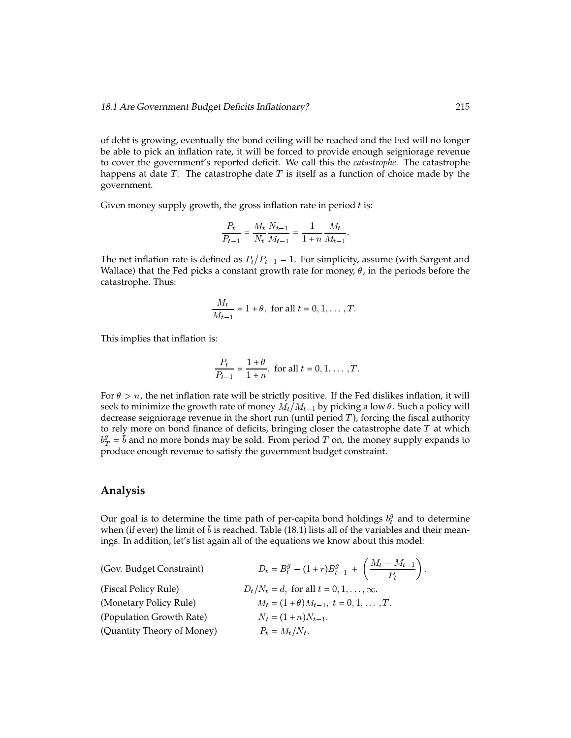of debt is growing, eventually the bond ceiling will be reached and the Fed will no longer be able to pick an inflation rate, it will be forced to provide enough seigniorage revenue to cover the government's reported deficit. We call this the *catastrophe.* The catastrophe happens at date  $T$ . The catastrophe date  $T$  is itself as a function of choice made by the government.

Given money supply growth, the gross inflation rate in period  $t$  is:

$$
\frac{P_t}{P_{t-1}} = \frac{M_t}{N_t} \frac{N_{t-1}}{M_{t-1}} = \frac{1}{1+n} \frac{M_t}{M_{t-1}}.
$$

The net inflation rate is defined as  $P_t/P_{t-1} - 1$ . For simplicity, assume (with Sargent and Wallace) that the Fed picks a constant growth rate for money,  $\theta$ , in the periods before the catastrophe. Thus:

$$
\frac{M_t}{M_{t-1}} = 1 + \theta, \text{ for all } t = 0, 1, ..., T.
$$

This implies that inflation is:

$$
\frac{P_t}{P_{t-1}} = \frac{1+\theta}{1+n}, \text{ for all } t = 0, 1, ..., T.
$$

For  $\theta > n$ , the net inflation rate will be strictly positive. If the Fed dislikes inflation, it will seek to minimize the growth rate of money  $M_t/M_{t-1}$  by picking a low  $\theta$ . Such a policy will decrease seigniorage revenue in the short run (until period  $T$ ), forcing the fiscal authority to rely more on bond finance of deficits, bringing closer the catastrophe date  $T$  at which  $b_T^g = \overline{b}$  and no more bonds may be sold. From period  $T$  on, the money supply expands to produce enough revenue to satisfy the government budget constraint.

#### **Analysis**

Our goal is to determine the time path of per-capita bond holdings  $b_t^y$  and to determine  $\cdot$ when (if ever) the limit of  $\bar{b}$  is reached. Table (18.1) lists all of the variables and their meanings. In addition, let's list again all of the equations we know about this model:

(Gov. Budget Constraint)  $D_t = B_t^g - (1+r)B_{t-1}^g + \left(\frac{M_t - M_{t-1}}{P_t}\right)$ . (Fiscal Policy Rule)  $D_t/N_t = d$ , for all  $t = 0, 1, \ldots, \infty$ . (Monetary Policy Rule)  $M_t = (1 + \theta)M_{t-1}, t = 0, 1, \ldots, T$ . (Population Growth Rate)  $N_t = (1 + n)N_{t-1}$ . (Quantity Theory of Money)  $P_t = M_t/N_t$ .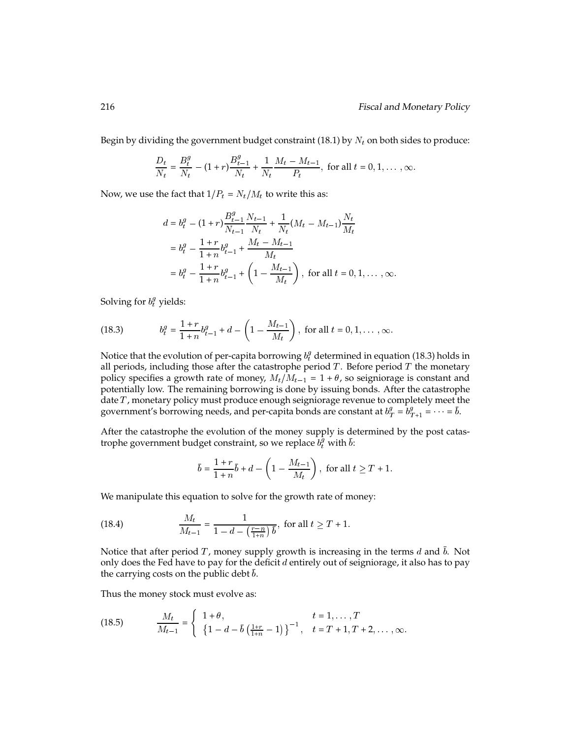Begin by dividing the government budget constraint (18.1) by  $N_t$  on both sides to produce:

$$
\frac{D_t}{N_t} = \frac{B_t^g}{N_t} - (1+r)\frac{B_{t-1}^g}{N_t} + \frac{1}{N_t}\frac{M_t - M_{t-1}}{P_t}, \text{ for all } t = 0, 1, ..., \infty.
$$

Now, we use the fact that  $1/P_t = N_t/M_t$  to write this as:

$$
d = b_t^g - (1+r)\frac{B_{t-1}^g}{N_{t-1}} \frac{N_{t-1}}{N_t} + \frac{1}{N_t} (M_t - M_{t-1}) \frac{N_t}{M_t}
$$
  
=  $b_t^g - \frac{1+r}{1+n} b_{t-1}^g + \frac{M_t - M_{t-1}}{M_t}$   
=  $b_t^g - \frac{1+r}{1+n} b_{t-1}^g + \left(1 - \frac{M_{t-1}}{M_t}\right)$ , for all  $t = 0, 1, ..., \infty$ .

Solving for  $b_t^y$  yields:

(18.3) 
$$
b_t^g = \frac{1+r}{1+n} b_{t-1}^g + d - \left(1 - \frac{M_{t-1}}{M_t}\right), \text{ for all } t = 0, 1, ..., \infty.
$$

Notice that the evolution of per-capita borrowing  $b_l^y$  determined in equation (18.3) holds in tall periods, including those after the catastrophe period  $T$ . Before period  $T$  the monetary policy specifies a growth rate of money,  $M_t/M_{t-1} = 1 + \theta$ , so seigniorage is constant and potentially low. The remaining borrowing is done by issuing bonds. After the catastrophe date  $T$ , monetary policy must produce enough seigniorage revenue to completely meet the government's borrowing needs, and per-capita bonds are constant at  $b_T^g = b_{T+1}^g = \cdots = \bar{b}$ .

After the catastrophe the evolution of the money supply is determined by the post catastrophe government budget constraint, so we replace  $\overline{b}_t^{\tilde{g}}$  with  $\bar{b}$ : t

$$
\bar{b} = \frac{1+r}{1+n}\bar{b} + d - \left(1 - \frac{M_{t-1}}{M_t}\right), \text{ for all } t \ge T+1.
$$

We manipulate this equation to solve for the growth rate of money:

(18.4) 
$$
\frac{M_t}{M_{t-1}} = \frac{1}{1 - d - \left(\frac{r-n}{1+n}\right)\bar{b}}, \text{ for all } t \geq T+1.
$$

Notice that after period T, money supply growth is increasing in the terms d and  $\bar{b}$ . Not only does the Fed have to pay for the deficit  $d$  entirely out of seigniorage, it also has to pay the carrying costs on the public debt  $\bar{b}$ .

Thus the money stock must evolve as:

(18.5) 
$$
\frac{M_t}{M_{t-1}} = \begin{cases} 1+\theta, & t = 1, ..., T \\ \left\{1-d-\overline{b}\left(\frac{1+r}{1+n}-1\right)\right\}^{-1}, & t = T+1, T+2, ..., \infty. \end{cases}
$$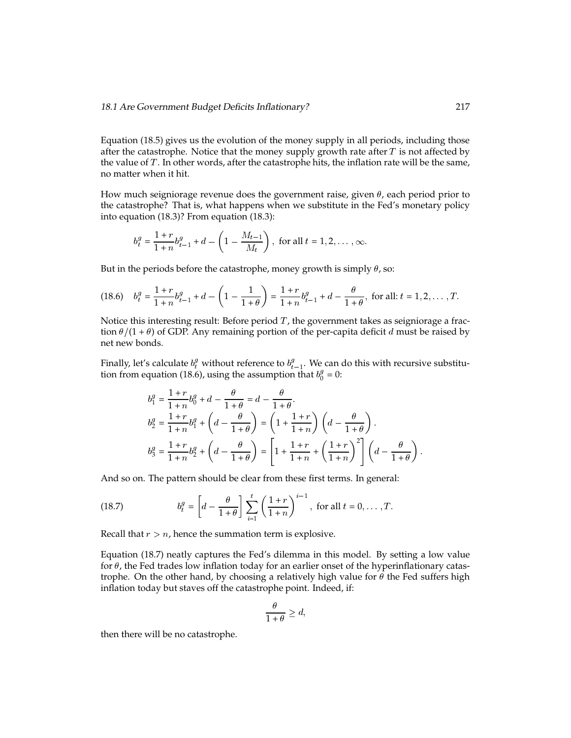Equation (18.5) gives us the evolution of the money supply in all periods, including those after the catastrophe. Notice that the money supply growth rate after  $T$  is not affected by the value of  $T$ . In other words, after the catastrophe hits, the inflation rate will be the same, no matter when it hit.

How much seigniorage revenue does the government raise, given  $\theta$ , each period prior to the catastrophe? That is, what happens when we substitute in the Fed's monetary policy into equation (18.3)? From equation (18.3):

$$
b_t^g = \frac{1+r}{1+n}b_{t-1}^g + d - \left(1 - \frac{M_{t-1}}{M_t}\right), \text{ for all } t = 1, 2, \dots, \infty.
$$

But in the periods before the catastrophe, money growth is simply  $\theta$ , so:

$$
(18.6) \quad b_t^g = \frac{1+r}{1+n} b_{t-1}^g + d - \left(1 - \frac{1}{1+\theta}\right) = \frac{1+r}{1+n} b_{t-1}^g + d - \frac{\theta}{1+\theta}, \text{ for all: } t = 1, 2, \dots, T.
$$

Notice this interesting result: Before period  $T$ , the government takes as seigniorage a fraction  $\theta/(1 + \theta)$  of GDP. Any remaining portion of the per-capita deficit d must be raised by net new bonds.

Finally, let's calculate  $b_t^g$  without reference to  $b_{t-1}^g$ . We can do this with recursive substitution from equation (18.6), using the assumption that  $b_0^y = 0$ :

$$
b_1^g = \frac{1+r}{1+n} b_0^g + d - \frac{\theta}{1+\theta} = d - \frac{\theta}{1+\theta}.
$$
  
\n
$$
b_2^g = \frac{1+r}{1+n} b_1^g + \left( d - \frac{\theta}{1+\theta} \right) = \left( 1 + \frac{1+r}{1+n} \right) \left( d - \frac{\theta}{1+\theta} \right).
$$
  
\n
$$
b_3^g = \frac{1+r}{1+n} b_2^g + \left( d - \frac{\theta}{1+\theta} \right) = \left[ 1 + \frac{1+r}{1+n} + \left( \frac{1+r}{1+n} \right)^2 \right] \left( d - \frac{\theta}{1+\theta} \right).
$$

And so on. The pattern should be clear from these first terms. In general:

(18.7) 
$$
b_t^g = \left[ d - \frac{\theta}{1+\theta} \right] \sum_{i=1}^t \left( \frac{1+r}{1+n} \right)^{i-1}, \text{ for all } t = 0, ..., T.
$$

Recall that  $r>n$ , hence the summation term is explosive.

Equation (18.7) neatly captures the Fed's dilemma in this model. By setting a low value for  $\theta$ , the Fed trades low inflation today for an earlier onset of the hyperinflationary catastrophe. On the other hand, by choosing a relatively high value for  $\theta$  the Fed suffers high inflation today but staves off the catastrophe point. Indeed, if:

$$
\frac{\theta}{1+\theta} \ge d,
$$

then there will be no catastrophe.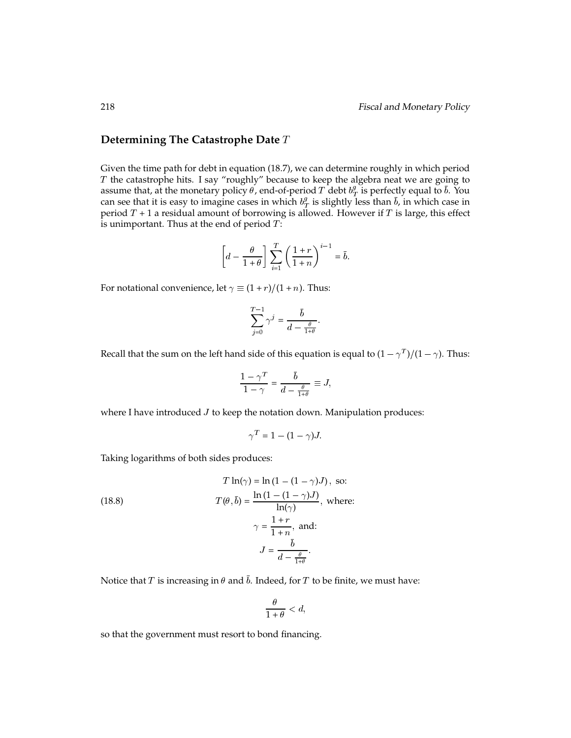### **Determining The Catastrophe Date** <sup>T</sup>

Given the time path for debt in equation (18.7), we can determine roughly in which period <sup>T</sup> the catastrophe hits. I say "roughly" because to keep the algebra neat we are going to assume that, at the monetary policy  $\theta$ , end-of-period  $T$  debt  $b_T^g$  is perfectly equal to  $b$ . You can see that it is easy to imagine cases in which  $b_T^g$  is slightly less than  $\bar{b}$ , in which case in period  $T + 1$  a residual amount of borrowing is allowed. However if T is large, this effect is unimportant. Thus at the end of period  $T$ :

$$
\[d - \frac{\theta}{1+\theta}\] \sum_{i=1}^T \left(\frac{1+r}{1+n}\right)^{i-1} = \overline{b}.
$$

For notational convenience, let  $\gamma \equiv (1 + r)/(1 + n)$ . Thus:

$$
\sum_{j=0}^{T-1} \gamma^j = \frac{b}{d - \frac{\theta}{1+\theta}}.
$$

Recall that the sum on the left hand side of this equation is equal to  $(1-\gamma^T)/(1-\gamma)$ . Thus:

$$
\frac{1-\gamma^T}{1-\gamma} = \frac{\bar{b}}{d - \frac{\theta}{1+\theta}} \equiv J,
$$

where I have introduced  $J$  to keep the notation down. Manipulation produces:

$$
\gamma^T=1-(1-\gamma)J
$$

Taking logarithms of both sides produces:

(18.8)  
\n
$$
T \ln(\gamma) = \ln(1 - (1 - \gamma)J), \text{ so:}
$$
\n
$$
T(\theta, \bar{b}) = \frac{\ln(1 - (1 - \gamma)J)}{\ln(\gamma)}, \text{ where:}
$$
\n
$$
\gamma = \frac{1+r}{1+n}, \text{ and:}
$$
\n
$$
J = \frac{\bar{b}}{d - \frac{\theta}{1+\theta}}.
$$

Notice that T is increasing in  $\theta$  and  $\bar{b}$ . Indeed, for T to be finite, we must have:

$$
\frac{\theta}{1+\theta}
$$

so that the government must resort to bond financing.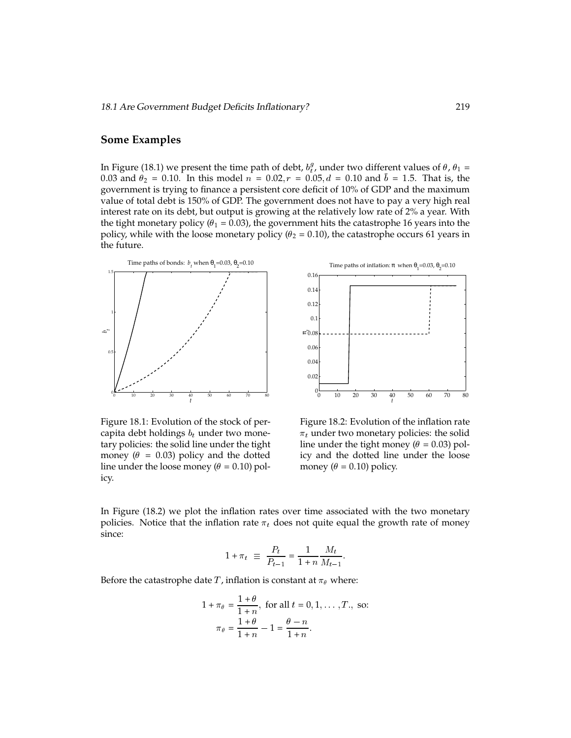#### **Some Examples**

In Figure (18.1) we present the time path of debt,  $b^y_t$ , under two different values of  $\theta$ ,  $\theta_1$  = 0.03 and  $\theta_2 = 0.10$ . In this model  $n = 0.02$ ,  $r = 0.05$ ,  $d = 0.10$  and  $\bar{b} = 1.5$ . That is, the government is trying to finance a persistent core deficit of 10% of GDP and the maximum value of total debt is 150% of GDP. The government does not have to pay a very high real interest rate on its debt, but output is growing at the relatively low rate of 2% a year. With the tight monetary policy ( $\theta_1 = 0.03$ ), the government hits the catastrophe 16 years into the policy, while with the loose monetary policy ( $\theta_2 = 0.10$ ), the catastrophe occurs 61 years in the future.



Figure 18.1: Evolution of the stock of percapita debt holdings  $b_t$  under two monetary policies: the solid line under the tight money ( $\theta = 0.03$ ) policy and the dotted line under the loose money ( $\theta = 0.10$ ) policy.



Figure 18.2: Evolution of the inflation rate  $\pi_t$  under two monetary policies: the solid line under the tight money ( $\theta = 0.03$ ) policy and the dotted line under the loose money ( $\theta$  = 0.10) policy.

In Figure (18.2) we plot the inflation rates over time associated with the two monetary policies. Notice that the inflation rate  $\pi_t$  does not quite equal the growth rate of money since:

$$
1 + \pi_t \equiv \frac{P_t}{P_{t-1}} = \frac{1}{1+n} \frac{M_t}{M_{t-1}}.
$$

Before the catastrophe date  $T$ , inflation is constant at  $\pi_{\theta}$  where:

$$
1 + \pi_{\theta} = \frac{1 + \theta}{1 + n}, \text{ for all } t = 0, 1, ..., T., \text{ so:}
$$

$$
\pi_{\theta} = \frac{1 + \theta}{1 + n} - 1 = \frac{\theta - n}{1 + n}.
$$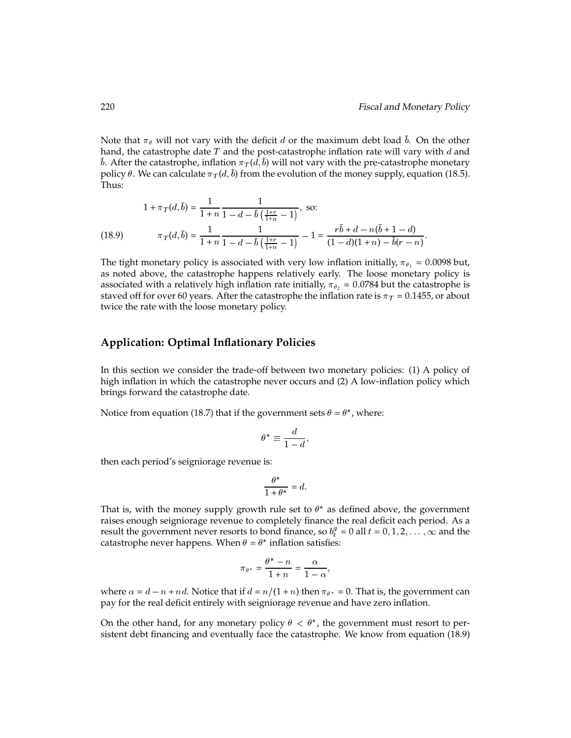Note that  $\pi_{\theta}$  will not vary with the deficit d or the maximum debt load  $\bar{b}$ . On the other hand, the catastrophe date  $T$  and the post-catastrophe inflation rate will vary with  $d$  and  $\bar{b}$ . After the catastrophe, inflation  $\pi_T(d, \bar{b})$  will not vary with the pre-catastrophe monetary policy  $\theta$ . We can calculate  $\pi_T(d, \bar{b})$  from the evolution of the money supply, equation (18.5). Thus:

(18.9) 
$$
1 + \pi_T(d, b) = \frac{1}{1+n} \frac{1}{1-d-b(\frac{1+r}{1+n}-1)}, \text{ so:}
$$

$$
\pi_T(d, b) = \frac{1}{1+n} \frac{1}{1-d-b(\frac{1+r}{1+n}-1)} - 1 = \frac{r\bar{b}+d-n(\bar{b}+1-d)}{(1-d)(1+n)-\bar{b}(r-n)}.
$$

The tight monetary policy is associated with very low inflation initially,  $\pi_{\theta_1} = 0.0098$  but, as noted above, the catastrophe happens relatively early. The loose monetary policy is associated with a relatively high inflation rate initially,  $\pi_{\theta_2} = 0.0784$  but the catastrophe is staved off for over 60 years. After the catastrophe the inflation rate is  $\pi_T = 0.1455$ , or about twice the rate with the loose monetary policy.

#### **Application: Optimal Inflationary Policies**

In this section we consider the trade-off between two monetary policies: (1) A policy of high inflation in which the catastrophe never occurs and (2) A low-inflation policy which brings forward the catastrophe date.

Notice from equation (18.7) that if the government sets  $\theta = \theta^\star$  , where:

$$
\theta^{\star} \equiv \frac{d}{1-d},
$$

then each period's seigniorage revenue is:

$$
\frac{\theta^\star}{1+\theta^\star}=d.
$$

That is, with the money supply growth rule set to  $\theta^\star$  as defined above, the government raises enough seigniorage revenue to completely finance the real deficit each period. As a result the government never resorts to bond finance, so  $b_t^g = 0$  all  $t = 0, 1, 2, \ldots, \infty$  and the catastrophe never happens. When  $\theta = \theta^*$  inflation satisfies:

$$
\pi_{\theta^\star} = \frac{\theta^\star - n}{1 + n} = \frac{\alpha}{1 - \alpha},
$$

where  $\alpha = d - n + nd$ . Notice that if  $d = n/(1 + n)$  then  $\pi_{\theta^*} = 0$ . That is, the government can pay for the real deficit entirely with seigniorage revenue and have zero inflation.

On the other hand, for any monetary policy  $\theta < \theta^*$ , the government must resort to persistent debt financing and eventually face the catastrophe. We know from equation (18.9)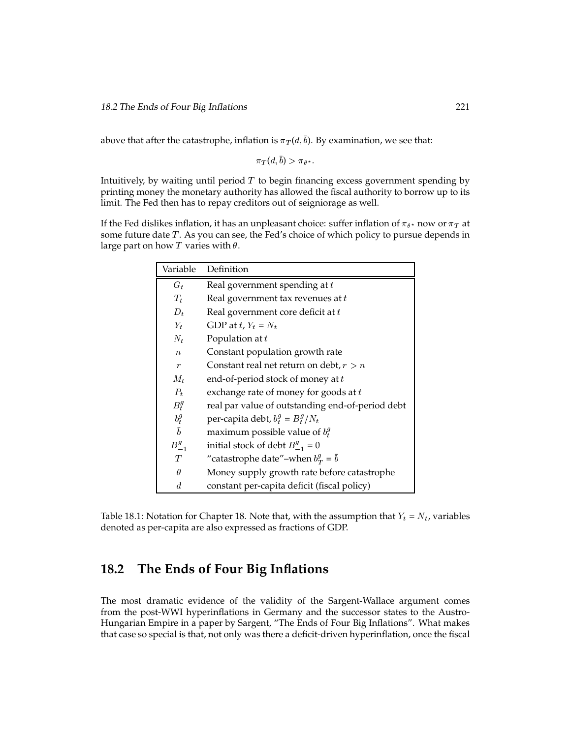above that after the catastrophe, inflation is  $\pi_T(d, \bar{b})$ . By examination, we see that:

$$
\pi_T(d,\bar{b})>\pi_{\theta^{\star}}.
$$

Intuitively, by waiting until period  $T$  to begin financing excess government spending by printing money the monetary authority has allowed the fiscal authority to borrow up to its limit. The Fed then has to repay creditors out of seigniorage as well.

If the Fed dislikes inflation, it has an unpleasant choice: suffer inflation of  $\pi_{\theta^*}$  now or  $\pi_T$  at some future date  $T$ . As you can see, the Fed's choice of which policy to pursue depends in large part on how  $T$  varies with  $\theta$ .

| Variable         | Definition                                       |
|------------------|--------------------------------------------------|
| $G_t$            | Real government spending at t                    |
| $T_t$            | Real government tax revenues at t                |
| $D_t$            | Real government core deficit at t                |
| $Y_t$            | GDP at t, $Y_t = N_t$                            |
| $N_t$            | Population at $t$                                |
| $\boldsymbol{n}$ | Constant population growth rate                  |
| $\boldsymbol{r}$ | Constant real net return on debt, $r > n$        |
| $M_t$            | end-of-period stock of money at $t$              |
| $P_t$            | exchange rate of money for goods at $t$          |
| $B_t^g$          | real par value of outstanding end-of-period debt |
| $b_t^g$          | per-capita debt, $b_t^g = B_t^g/N_t$             |
| $\bar{b}$        | maximum possible value of $b_t^g$                |
| $B_{-1}^g$       | initial stock of debt $B_{-1}^g = 0$             |
| T                | "catastrophe date"-when $b_T^g = \bar{b}$        |
| θ                | Money supply growth rate before catastrophe      |
| $\boldsymbol{d}$ | constant per-capita deficit (fiscal policy)      |

Table 18.1: Notation for Chapter 18. Note that, with the assumption that  $Y_t = N_t$ , variables denoted as per-capita are also expressed as fractions of GDP.

# **18.2 The Ends of Four Big Inflations**

The most dramatic evidence of the validity of the Sargent-Wallace argument comes from the post-WWI hyperinflations in Germany and the successor states to the Austro-Hungarian Empire in a paper by Sargent, "The Ends of Four Big Inflations". What makes that case so special is that, not only was there a deficit-driven hyperinflation, once the fiscal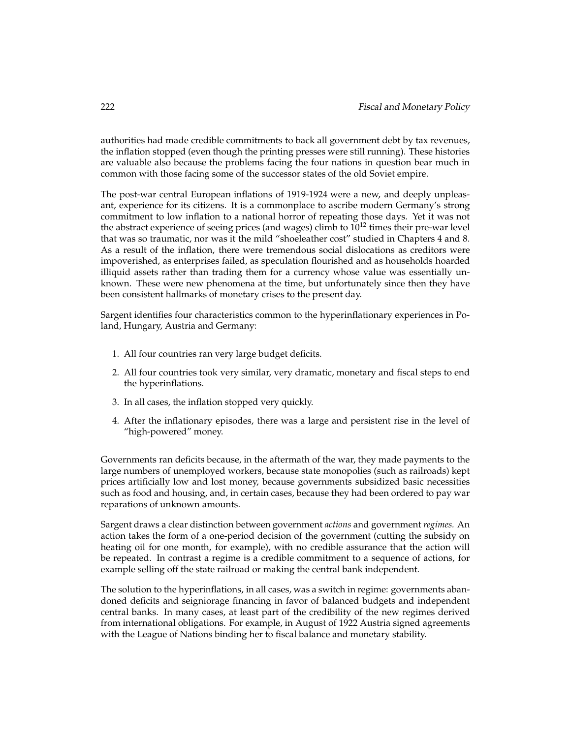authorities had made credible commitments to back all government debt by tax revenues, the inflation stopped (even though the printing presses were still running). These histories are valuable also because the problems facing the four nations in question bear much in common with those facing some of the successor states of the old Soviet empire.

The post-war central European inflations of 1919-1924 were a new, and deeply unpleasant, experience for its citizens. It is a commonplace to ascribe modern Germany's strong commitment to low inflation to a national horror of repeating those days. Yet it was not the abstract experience of seeing prices (and wages) climb to  $10^{12}$  times their pre-war level that was so traumatic, nor was it the mild "shoeleather cost" studied in Chapters 4 and 8. As a result of the inflation, there were tremendous social dislocations as creditors were impoverished, as enterprises failed, as speculation flourished and as households hoarded illiquid assets rather than trading them for a currency whose value was essentially unknown. These were new phenomena at the time, but unfortunately since then they have been consistent hallmarks of monetary crises to the present day.

Sargent identifies four characteristics common to the hyperinflationary experiences in Poland, Hungary, Austria and Germany:

- 1. All four countries ran very large budget deficits.
- 2. All four countries took very similar, very dramatic, monetary and fiscal steps to end the hyperinflations.
- 3. In all cases, the inflation stopped very quickly.
- 4. After the inflationary episodes, there was a large and persistent rise in the level of "high-powered" money.

Governments ran deficits because, in the aftermath of the war, they made payments to the large numbers of unemployed workers, because state monopolies (such as railroads) kept prices artificially low and lost money, because governments subsidized basic necessities such as food and housing, and, in certain cases, because they had been ordered to pay war reparations of unknown amounts.

Sargent draws a clear distinction between government *actions* and government *regimes.* An action takes the form of a one-period decision of the government (cutting the subsidy on heating oil for one month, for example), with no credible assurance that the action will be repeated. In contrast a regime is a credible commitment to a sequence of actions, for example selling off the state railroad or making the central bank independent.

The solution to the hyperinflations, in all cases, was a switch in regime: governments abandoned deficits and seigniorage financing in favor of balanced budgets and independent central banks. In many cases, at least part of the credibility of the new regimes derived from international obligations. For example, in August of 1922 Austria signed agreements with the League of Nations binding her to fiscal balance and monetary stability.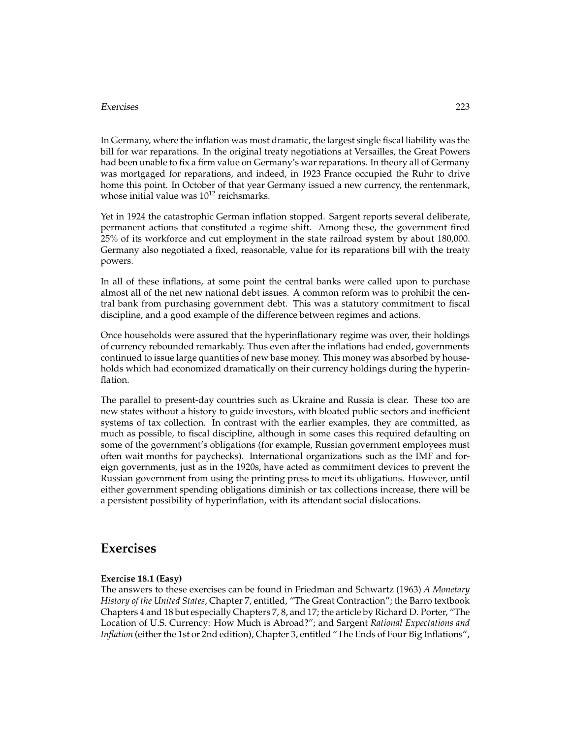#### Exercises 223

In Germany, where the inflation was most dramatic, the largest single fiscal liability was the bill for war reparations. In the original treaty negotiations at Versailles, the Great Powers had been unable to fix a firm value on Germany's war reparations. In theory all of Germany was mortgaged for reparations, and indeed, in 1923 France occupied the Ruhr to drive home this point. In October of that year Germany issued a new currency, the rentenmark, whose initial value was  $10^{12}$  reichsmarks.

Yet in 1924 the catastrophic German inflation stopped. Sargent reports several deliberate, permanent actions that constituted a regime shift. Among these, the government fired 25% of its workforce and cut employment in the state railroad system by about 180,000. Germany also negotiated a fixed, reasonable, value for its reparations bill with the treaty powers.

In all of these inflations, at some point the central banks were called upon to purchase almost all of the net new national debt issues. A common reform was to prohibit the central bank from purchasing government debt. This was a statutory commitment to fiscal discipline, and a good example of the difference between regimes and actions.

Once households were assured that the hyperinflationary regime was over, their holdings of currency rebounded remarkably. Thus even after the inflations had ended, governments continued to issue large quantities of new base money. This money was absorbed by households which had economized dramatically on their currency holdings during the hyperinflation.

The parallel to present-day countries such as Ukraine and Russia is clear. These too are new states without a history to guide investors, with bloated public sectors and inefficient systems of tax collection. In contrast with the earlier examples, they are committed, as much as possible, to fiscal discipline, although in some cases this required defaulting on some of the government's obligations (for example, Russian government employees must often wait months for paychecks). International organizations such as the IMF and foreign governments, just as in the 1920s, have acted as commitment devices to prevent the Russian government from using the printing press to meet its obligations. However, until either government spending obligations diminish or tax collections increase, there will be a persistent possibility of hyperinflation, with its attendant social dislocations.

## **Exercises**

#### **Exercise 18.1 (Easy)**

The answers to these exercises can be found in Friedman and Schwartz (1963) *A Monetary History of the United States*, Chapter 7, entitled, "The Great Contraction"; the Barro textbook Chapters 4 and 18 but especially Chapters 7, 8, and 17; the article by Richard D. Porter, "The Location of U.S. Currency: How Much is Abroad?"; and Sargent *Rational Expectations and Inflation* (either the 1st or 2nd edition), Chapter 3, entitled "The Ends of Four Big Inflations",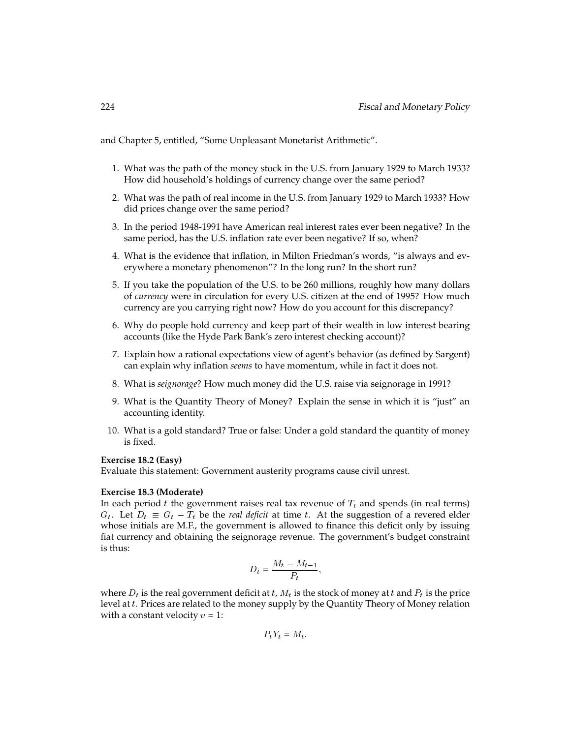and Chapter 5, entitled, "Some Unpleasant Monetarist Arithmetic".

- 1. What was the path of the money stock in the U.S. from January 1929 to March 1933? How did household's holdings of currency change over the same period?
- 2. What was the path of real income in the U.S. from January 1929 to March 1933? How did prices change over the same period?
- 3. In the period 1948-1991 have American real interest rates ever been negative? In the same period, has the U.S. inflation rate ever been negative? If so, when?
- 4. What is the evidence that inflation, in Milton Friedman's words, "is always and everywhere a monetary phenomenon"? In the long run? In the short run?
- 5. If you take the population of the U.S. to be 260 millions, roughly how many dollars of *currency* were in circulation for every U.S. citizen at the end of 1995? How much currency are you carrying right now? How do you account for this discrepancy?
- 6. Why do people hold currency and keep part of their wealth in low interest bearing accounts (like the Hyde Park Bank's zero interest checking account)?
- 7. Explain how a rational expectations view of agent's behavior (as defined by Sargent) can explain why inflation *seems* to have momentum, while in fact it does not.
- 8. What is *seignorage*? How much money did the U.S. raise via seignorage in 1991?
- 9. What is the Quantity Theory of Money? Explain the sense in which it is "just" an accounting identity.
- 10. What is a gold standard? True or false: Under a gold standard the quantity of money is fixed.

#### **Exercise 18.2 (Easy)**

Evaluate this statement: Government austerity programs cause civil unrest.

#### **Exercise 18.3 (Moderate)**

In each period t the government raises real tax revenue of  $T_t$  and spends (in real terms)  $G_t$ . Let  $D_t \equiv G_t - T_t$  be the *real deficit* at time t. At the suggestion of a revered elder whose initials are M.F., the government is allowed to finance this deficit only by issuing fiat currency and obtaining the seignorage revenue. The government's budget constraint is thus:

$$
D_t = \frac{M_t - M_{t-1}}{P_t},
$$

where  $D_t$  is the real government deficit at  $t$ ,  $M_t$  is the stock of money at  $t$  and  $P_t$  is the price level at <sup>t</sup>. Prices are related to the money supply by the Quantity Theory of Money relation with a constant velocity  $v = 1$ :

$$
P_t Y_t = M_t.
$$